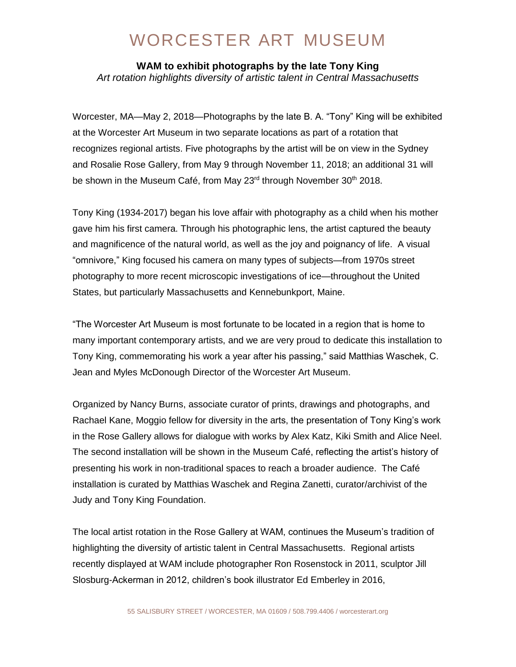## WORCESTER ART MUSEUM

**WAM to exhibit photographs by the late Tony King**  *Art rotation highlights diversity of artistic talent in Central Massachusetts*

Worcester, MA—May 2, 2018—Photographs by the late B. A. "Tony" King will be exhibited at the Worcester Art Museum in two separate locations as part of a rotation that recognizes regional artists. Five photographs by the artist will be on view in the Sydney and Rosalie Rose Gallery, from May 9 through November 11, 2018; an additional 31 will be shown in the Museum Café, from May 23<sup>rd</sup> through November 30<sup>th</sup> 2018.

Tony King (1934-2017) began his love affair with photography as a child when his mother gave him his first camera. Through his photographic lens, the artist captured the beauty and magnificence of the natural world, as well as the joy and poignancy of life. A visual "omnivore," King focused his camera on many types of subjects—from 1970s street photography to more recent microscopic investigations of ice—throughout the United States, but particularly Massachusetts and Kennebunkport, Maine.

"The Worcester Art Museum is most fortunate to be located in a region that is home to many important contemporary artists, and we are very proud to dedicate this installation to Tony King, commemorating his work a year after his passing," said Matthias Waschek, C. Jean and Myles McDonough Director of the Worcester Art Museum.

Organized by Nancy Burns, associate curator of prints, drawings and photographs, and Rachael Kane, Moggio fellow for diversity in the arts, the presentation of Tony King's work in the Rose Gallery allows for dialogue with works by Alex Katz, Kiki Smith and Alice Neel. The second installation will be shown in the Museum Café, reflecting the artist's history of presenting his work in non-traditional spaces to reach a broader audience. The Café installation is curated by Matthias Waschek and Regina Zanetti, curator/archivist of the Judy and Tony King Foundation.

The local artist rotation in the Rose Gallery at WAM, continues the Museum's tradition of highlighting the diversity of artistic talent in Central Massachusetts. Regional artists recently displayed at WAM include photographer Ron Rosenstock in 2011, sculptor Jill Slosburg-Ackerman in 2012, children's book illustrator Ed Emberley in 2016,